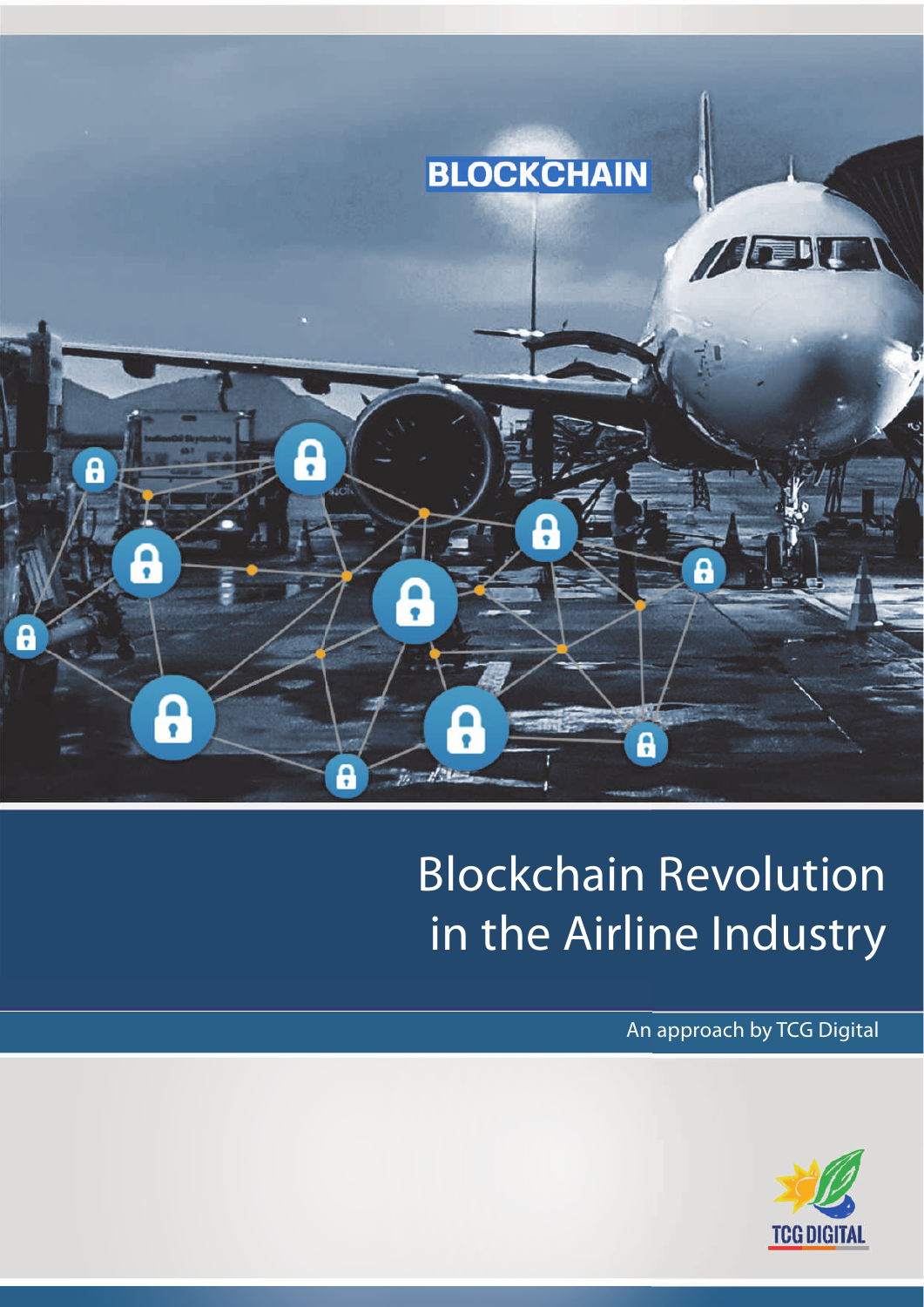

# Blockchain Revolution in the Airline Industry

An approach by TCG Digital

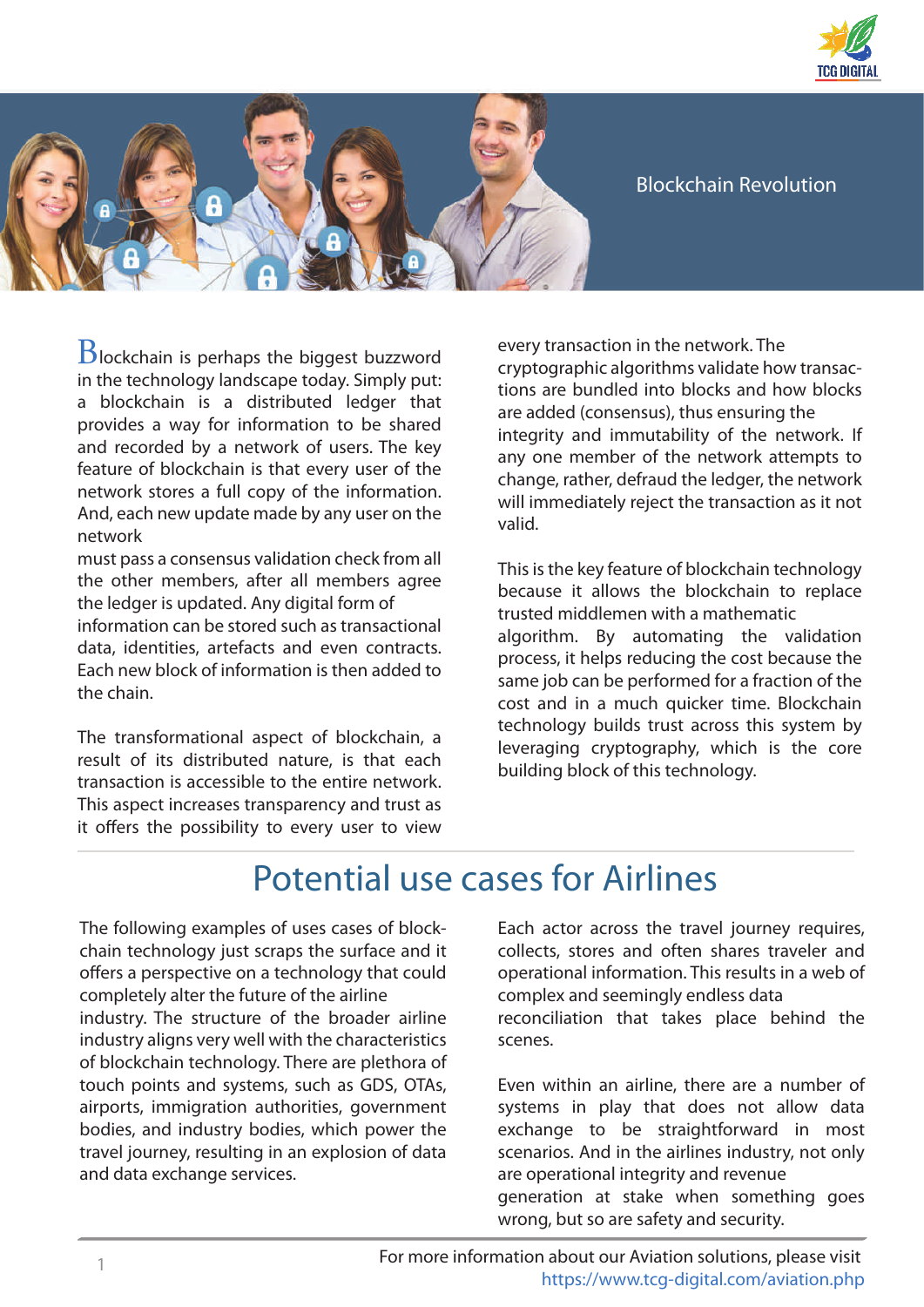



#### Blockchain Revolution

 $B$ lockchain is perhaps the biggest buzzword in the technology landscape today. Simply put: a blockchain is a distributed ledger that provides a way for information to be shared and recorded by a network of users. The key feature of blockchain is that every user of the network stores a full copy of the information. And, each new update made by any user on the network

must pass a consensus validation check from all the other members, after all members agree the ledger is updated. Any digital form of information can be stored such as transactional data, identities, artefacts and even contracts. Each new block of information is then added to the chain.

The transformational aspect of blockchain, a result of its distributed nature, is that each transaction is accessible to the entire network. This aspect increases transparency and trust as it offers the possibility to every user to view

every transaction in the network. The cryptographic algorithms validate how transactions are bundled into blocks and how blocks are added (consensus), thus ensuring the integrity and immutability of the network. If any one member of the network attempts to change, rather, defraud the ledger, the network will immediately reject the transaction as it not valid.

This is the key feature of blockchain technology because it allows the blockchain to replace trusted middlemen with a mathematic algorithm. By automating the validation process, it helps reducing the cost because the same job can be performed for a fraction of the cost and in a much quicker time. Blockchain technology builds trust across this system by leveraging cryptography, which is the core building block of this technology.

### Potential use cases for Airlines

The following examples of uses cases of blockchain technology just scraps the surface and it offers a perspective on a technology that could completely alter the future of the airline industry. The structure of the broader airline industry aligns very well with the characteristics of blockchain technology. There are plethora of touch points and systems, such as GDS, OTAs, airports, immigration authorities, government bodies, and industry bodies, which power the travel journey, resulting in an explosion of data and data exchange services.

Each actor across the travel journey requires, collects, stores and often shares traveler and operational information. This results in a web of complex and seemingly endless data reconciliation that takes place behind the scenes.

Even within an airline, there are a number of systems in play that does not allow data exchange to be straightforward in most scenarios. And in the airlines industry, not only are operational integrity and revenue generation at stake when something goes wrong, but so are safety and security.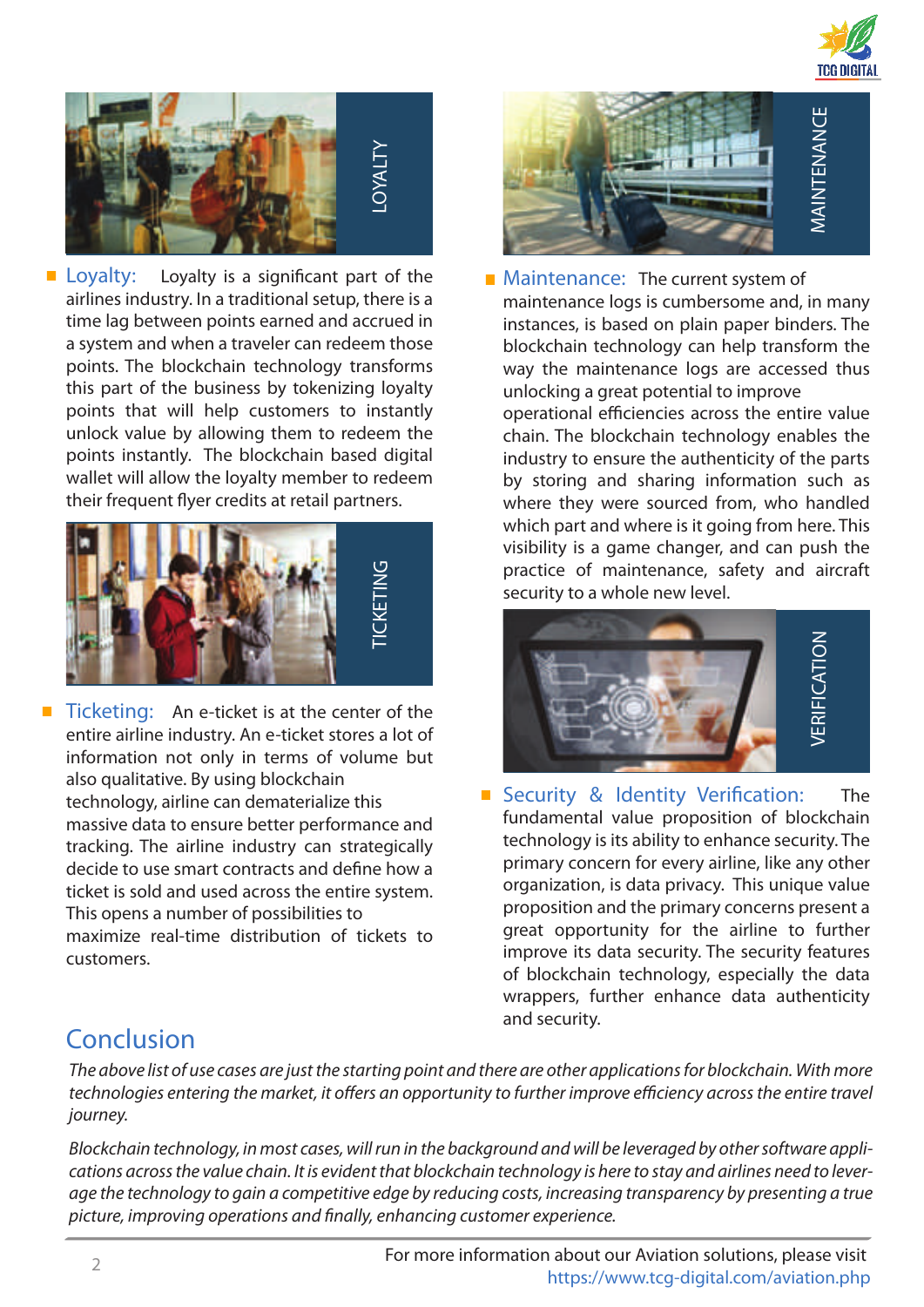



 $\blacksquare$  Loyalty: Loyalty is a significant part of the airlines industry. In a traditional setup, there is a time lag between points earned and accrued in a system and when a traveler can redeem those points. The blockchain technology transforms this part of the business by tokenizing loyalty points that will help customers to instantly unlock value by allowing them to redeem the points instantly. The blockchain based digital wallet will allow the loyalty member to redeem their frequent flyer credits at retail partners.



 $\blacksquare$  Ticketing: An e-ticket is at the center of the entire airline industry. An e-ticket stores a lot of information not only in terms of volume but also qualitative. By using blockchain technology, airline can dematerialize this massive data to ensure better performance and tracking. The airline industry can strategically decide to use smart contracts and define how a ticket is sold and used across the entire system. This opens a number of possibilities to maximize real-time distribution of tickets to customers.



**Maintenance:** The current system of maintenance logs is cumbersome and, in many instances, is based on plain paper binders. The blockchain technology can help transform the way the maintenance logs are accessed thus unlocking a great potential to improve

operational efficiencies across the entire value chain. The blockchain technology enables the industry to ensure the authenticity of the parts by storing and sharing information such as where they were sourced from, who handled which part and where is it going from here. This visibility is a game changer, and can push the practice of maintenance, safety and aircraft security to a whole new level.



Security & Identity Verification: The fundamental value proposition of blockchain technology is its ability to enhance security. The primary concern for every airline, like any other organization, is data privacy. This unique value proposition and the primary concerns present a great opportunity for the airline to further improve its data security. The security features of blockchain technology, especially the data wrappers, further enhance data authenticity and security.

### Conclusion

The above list of use cases are just the starting point and there are other applications for blockchain. With more technologies entering the market, it offers an opportunity to further improve efficiency across the entire travel journey.

Blockchain technology, in most cases, will run in the background and will be leveraged by other software applications across the value chain. It is evident that blockchain technology is here to stay and airlines need to leverage the technology to gain a competitive edge by reducing costs, increasing transparency by presenting a true picture, improving operations and finally, enhancing customer experience.